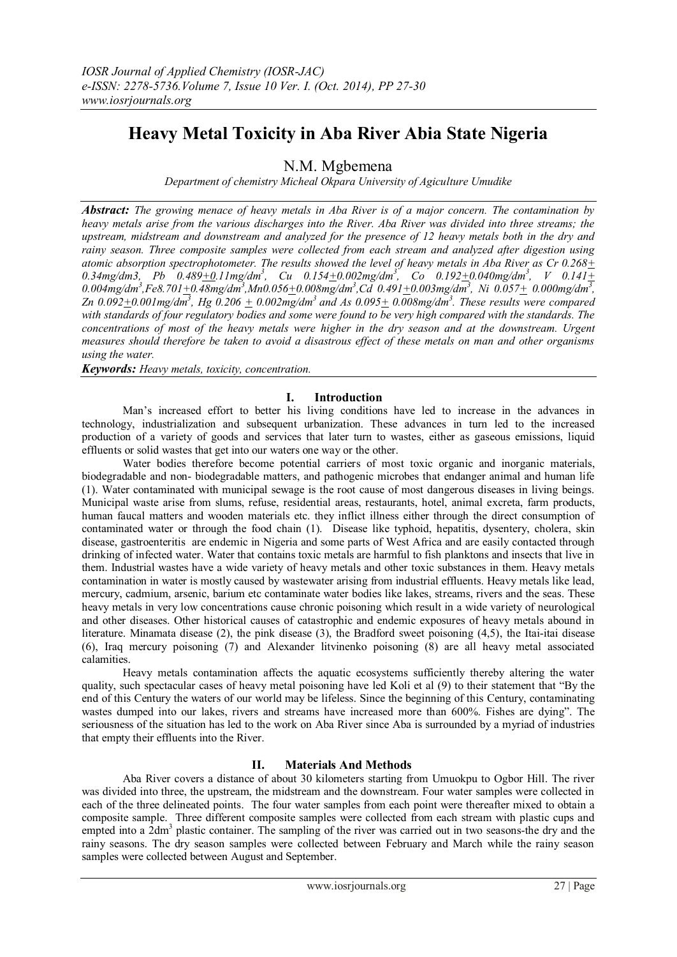# **Heavy Metal Toxicity in Aba River Abia State Nigeria**

N.M. Mgbemena

*Department of chemistry Micheal Okpara University of Agiculture Umudike*

*Abstract: The growing menace of heavy metals in Aba River is of a major concern. The contamination by heavy metals arise from the various discharges into the River. Aba River was divided into three streams; the upstream, midstream and downstream and analyzed for the presence of 12 heavy metals both in the dry and rainy season. Three composite samples were collected from each stream and analyzed after digestion using atomic absorption spectrophotometer. The results showed the level of heavy metals in Aba River as Cr 0.268+ 0.34mg/dm3, Pb 0.489+0.11mg/dm<sup>3</sup> , Cu 0.154+0.002mg/dm<sup>3</sup> , Co 0.192+0.040mg/dm<sup>3</sup> , V 0.141+ 0.004mg/dm<sup>3</sup> ,Fe8.701+0.48mg/dm<sup>3</sup> ,Mn0.056+0.008mg/dm<sup>3</sup> ,Cd 0.491+0.003mg/dm<sup>3</sup> , Ni 0.057+ 0.000mg/dm<sup>3</sup> , Zn*  $0.092 + 0.001$  mg/dm<sup>3</sup>, Hg  $0.206 + 0.002$  mg/dm<sup>3</sup> and As  $0.095 + 0.008$  mg/dm<sup>3</sup>. These results were compared *with standards of four regulatory bodies and some were found to be very high compared with the standards. The concentrations of most of the heavy metals were higher in the dry season and at the downstream. Urgent measures should therefore be taken to avoid a disastrous effect of these metals on man and other organisms using the water.*

*Keywords: Heavy metals, toxicity, concentration.*

## **I. Introduction**

Man's increased effort to better his living conditions have led to increase in the advances in technology, industrialization and subsequent urbanization. These advances in turn led to the increased production of a variety of goods and services that later turn to wastes, either as gaseous emissions, liquid effluents or solid wastes that get into our waters one way or the other.

Water bodies therefore become potential carriers of most toxic organic and inorganic materials, biodegradable and non- biodegradable matters, and pathogenic microbes that endanger animal and human life (1). Water contaminated with municipal sewage is the root cause of most dangerous diseases in living beings. Municipal waste arise from slums, refuse, residential areas, restaurants, hotel, animal excreta, farm products, human faucal matters and wooden materials etc. they inflict illness either through the direct consumption of contaminated water or through the food chain (1). Disease like typhoid, hepatitis, dysentery, cholera, skin disease, gastroenteritis are endemic in Nigeria and some parts of West Africa and are easily contacted through drinking of infected water. Water that contains toxic metals are harmful to fish planktons and insects that live in them. Industrial wastes have a wide variety of heavy metals and other toxic substances in them. Heavy metals contamination in water is mostly caused by wastewater arising from industrial effluents. Heavy metals like lead, mercury, cadmium, arsenic, barium etc contaminate water bodies like lakes, streams, rivers and the seas. These heavy metals in very low concentrations cause chronic poisoning which result in a wide variety of neurological and other diseases. Other historical causes of catastrophic and endemic exposures of heavy metals abound in literature. Minamata disease (2), the pink disease (3), the Bradford sweet poisoning (4,5), the Itai-itai disease (6), Iraq mercury poisoning (7) and Alexander litvinenko poisoning (8) are all heavy metal associated calamities.

Heavy metals contamination affects the aquatic ecosystems sufficiently thereby altering the water quality, such spectacular cases of heavy metal poisoning have led Koli et al (9) to their statement that "By the end of this Century the waters of our world may be lifeless. Since the beginning of this Century, contaminating wastes dumped into our lakes, rivers and streams have increased more than 600%. Fishes are dying". The seriousness of the situation has led to the work on Aba River since Aba is surrounded by a myriad of industries that empty their effluents into the River.

## **II. Materials And Methods**

Aba River covers a distance of about 30 kilometers starting from Umuokpu to Ogbor Hill. The river was divided into three, the upstream, the midstream and the downstream. Four water samples were collected in each of the three delineated points. The four water samples from each point were thereafter mixed to obtain a composite sample. Three different composite samples were collected from each stream with plastic cups and empted into a 2dm<sup>3</sup> plastic container. The sampling of the river was carried out in two seasons-the dry and the rainy seasons. The dry season samples were collected between February and March while the rainy season samples were collected between August and September.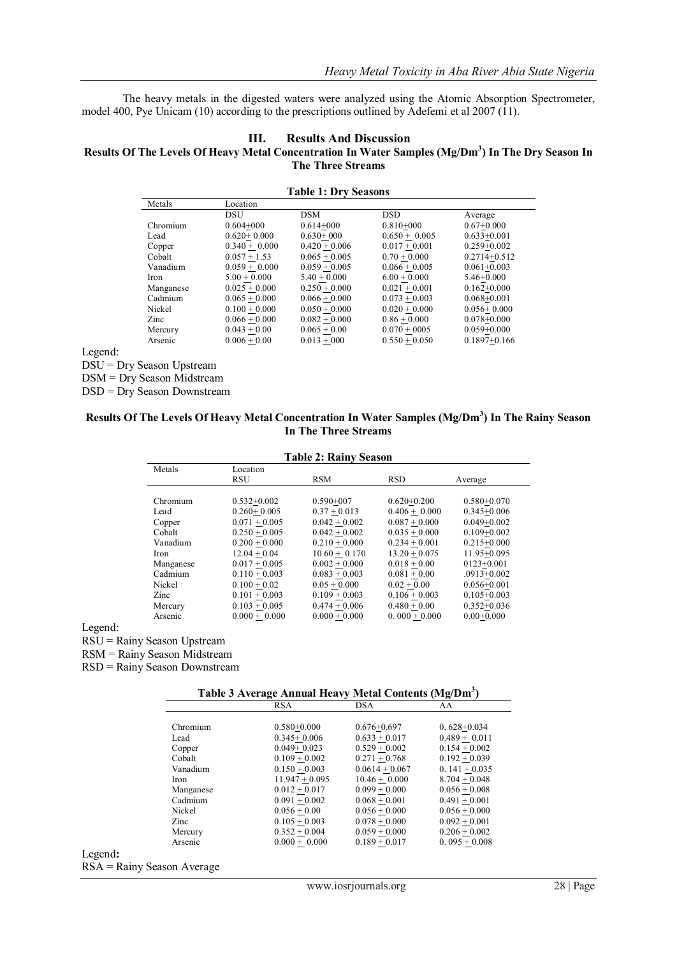The heavy metals in the digested waters were analyzed using the Atomic Absorption Spectrometer, model 400, Pye Unicam (10) according to the prescriptions outlined by Adefemi et al 2007 (11).

#### **III. Results And Discussion**

#### **Results Of The Levels Of Heavy Metal Concentration In Water Samples (Mg/Dm<sup>3</sup> ) In The Dry Season In The Three Streams**

| <b>Table 1: Dry Seasons</b> |                 |                 |                 |                  |
|-----------------------------|-----------------|-----------------|-----------------|------------------|
| Metals                      | Location        |                 |                 |                  |
|                             | DSU             | <b>DSM</b>      | <b>DSD</b>      | Average          |
| Chromium                    | $0.604 + 000$   | $0.614 + 000$   | $0.810 + 000$   | $0.67+0.000$     |
| Lead                        | $0.620 + 0.000$ | $0.630 + 000$   | $0.650 + 0.005$ | $0.633 + 0.001$  |
| Copper                      | $0.340 + 0.000$ | $0.420 + 0.006$ | $0.017 + 0.001$ | $0.259 + 0.002$  |
| Cobalt                      | $0.057 + 1.53$  | $0.065 + 0.005$ | $0.70 + 0.000$  | $0.2714 + 0.512$ |
| Vanadium                    | $0.059 + 0.000$ | $0.059 + 0.005$ | $0.066 + 0.005$ | $0.061 + 0.003$  |
| <b>Iron</b>                 | $5.00 + 0.000$  | $5.40 + 0.000$  | $6.00 + 0.000$  | $5.46 + 0.000$   |
| Manganese                   | $0.025 + 0.000$ | $0.250 + 0.000$ | $0.021 + 0.001$ | $0.162 + 0.000$  |
| Cadmium                     | $0.065 + 0.000$ | $0.066 + 0.000$ | $0.073 + 0.003$ | $0.068 + 0.001$  |
| Nickel                      | $0.100 + 0.000$ | $0.050 + 0.000$ | $0.020 + 0.000$ | $0.056 + 0.000$  |
| Zinc                        | $0.066 + 0.000$ | $0.082 + 0.000$ | $0.86 + 0.000$  | $0.078 + 0.000$  |
| Mercury                     | $0.043 + 0.00$  | $0.065 + 0.00$  | $0.070 + 0005$  | $0.059 + 0.000$  |
| Arsenic                     | $0.006 + 0.00$  | $0.013 + 000$   | $0.550 + 0.050$ | $0.1897 + 0.166$ |

Legend:

DSU = Dry Season Upstream

DSM = Dry Season Midstream

DSD = Dry Season Downstream

## **Results Of The Levels Of Heavy Metal Concentration In Water Samples (Mg/Dm<sup>3</sup> ) In The Rainy Season In The Three Streams**

| <b>Table 2: Rainy Season</b> |                 |                 |                 |                 |
|------------------------------|-----------------|-----------------|-----------------|-----------------|
| Metals                       | Location        |                 |                 |                 |
|                              | <b>RSU</b>      | <b>RSM</b>      | <b>RSD</b>      | Average         |
|                              |                 |                 |                 |                 |
| Chromium                     | $0.532+0.002$   | $0.590 + 007$   | $0.620 + 0.200$ | $0.580 + 0.070$ |
| Lead                         | $0.260 + 0.005$ | $0.37 + 0.013$  | $0.406 + 0.000$ | $0.345 + 0.006$ |
| Copper                       | $0.071 + 0.005$ | $0.042 + 0.002$ | $0.087 + 0.000$ | $0.049 + 0.002$ |
| Cobalt                       | $0.250 + 0.005$ | $0.042 + 0.002$ | $0.035 + 0.000$ | $0.109 + 0.002$ |
| Vanadium                     | $0.200 + 0.000$ | $0.210 + 0.000$ | $0.234 + 0.001$ | $0.215 + 0.000$ |
| Iron                         | $12.04 + 0.04$  | $10.60 + 0.170$ | $13.20 + 0.075$ | 11.95+0.095     |
| Manganese                    | $0.017 + 0.005$ | $0.002 + 0.000$ | $0.018 + 0.00$  | $0123+0.001$    |
| Cadmium                      | $0.110 + 0.003$ | $0.083 + 0.003$ | $0.081 + 0.00$  | $.0913 + 0.002$ |
| Nickel                       | $0.100 + 0.02$  | $0.05 + 0.000$  | $0.02 + 0.00$   | $0.056 + 0.001$ |
| Zinc                         | $0.101 + 0.003$ | $0.109 + 0.003$ | $0.106 + 0.003$ | $0.105 + 0.003$ |
| Mercury                      | $0.103 + 0.005$ | $0.474 + 0.006$ | $0.480 + 0.00$  | $0.352 + 0.036$ |
| Arsenic                      | $0.000 + 0.000$ | $0.000 + 0.000$ | $0.000 + 0.000$ | $0.00+0.000$    |

Legend:

RSU = Rainy Season Upstream

RSM = Rainy Season Midstream

RSD = Rainy Season Downstream

## **Table 3 Average Annual Heavy Metal Contents (Mg/Dm<sup>3</sup> )**

|                              |           | <b>RSA</b>       | <b>DSA</b>       | AA              |
|------------------------------|-----------|------------------|------------------|-----------------|
|                              |           |                  |                  |                 |
|                              | Chromium  | $0.580 + 0.000$  | $0.676 + 0.697$  | $0.628 + 0.034$ |
| Lead                         |           | $0.345+0.006$    | $0.633 + 0.017$  | $0.489 + 0.011$ |
|                              | Copper    | $0.049 + 0.023$  | $0.529 + 0.002$  | $0.154 + 0.002$ |
|                              | Cobalt    | $0.109 + 0.002$  | $0.271 + 0.768$  | $0.192 + 0.039$ |
|                              | Vanadium  | $0.150 + 0.003$  | $0.0614 + 0.067$ | $0.141 + 0.035$ |
| Iron                         |           | $11.947 + 0.095$ | $10.46 + 0.000$  | $8.704 + 0.048$ |
|                              | Manganese | $0.012 + 0.017$  | $0.099 + 0.000$  | $0.056 + 0.008$ |
|                              | Cadmium   | $0.091 + 0.002$  | $0.068 + 0.001$  | $0.491 + 0.001$ |
|                              | Nickel    | $0.056 + 0.00$   | $0.056 + 0.000$  | $0.056 + 0.000$ |
| Zinc                         |           | $0.105 + 0.003$  | $0.078 + 0.000$  | $0.092 + 0.001$ |
|                              | Mercury   | $0.352 + 0.004$  | $0.059 + 0.000$  | $0.206 + 0.002$ |
|                              | Arsenic   | $0.000 + 0.000$  | $0.189 + 0.017$  | $0.095 + 0.008$ |
| Legend:                      |           |                  |                  |                 |
| $RSA = Rainy$ Season Average |           |                  |                  |                 |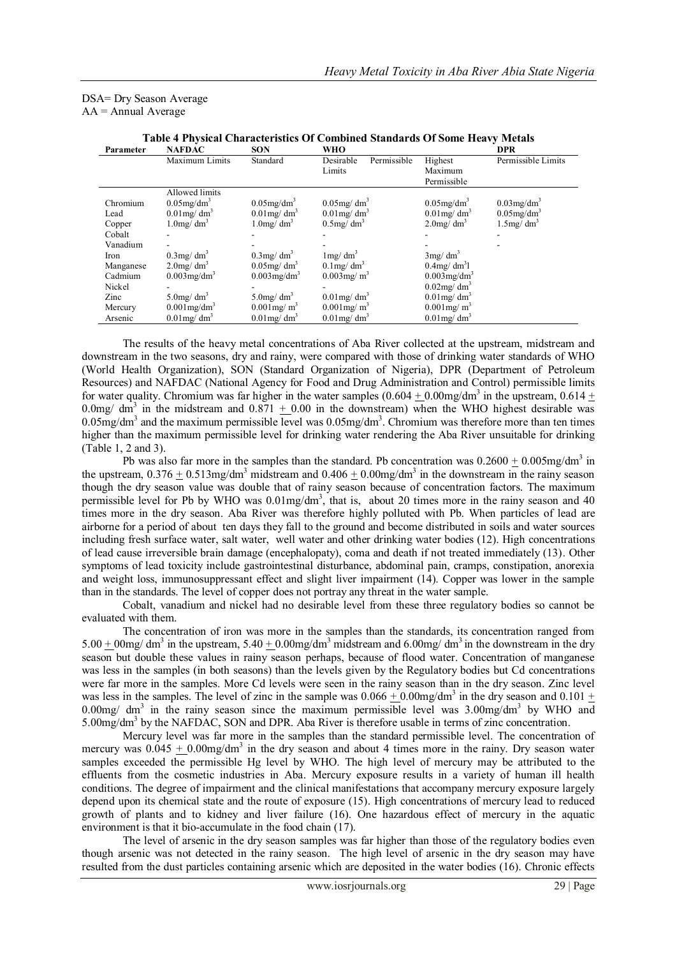### DSA= Dry Season Average  $AA =$  Annual Average

| Table + I II) sical Characteristics Of Combined Bianuarus Of Bome Heavy Bictais |                            |                            |                            |                            |                           |
|---------------------------------------------------------------------------------|----------------------------|----------------------------|----------------------------|----------------------------|---------------------------|
| Parameter                                                                       | <b>NAFDAC</b>              | <b>SON</b>                 | WHO                        |                            | <b>DPR</b>                |
|                                                                                 | Maximum Limits             | Standard                   | Permissible<br>Desirable   | Highest                    | Permissible Limits        |
|                                                                                 |                            |                            | Limits                     | Maximum                    |                           |
|                                                                                 |                            |                            |                            | Permissible                |                           |
|                                                                                 | Allowed limits             |                            |                            |                            |                           |
| Chromium                                                                        | $0.05$ mg/dm <sup>3</sup>  | $0.05$ mg/dm <sup>3</sup>  | $0.05$ mg/dm <sup>3</sup>  | $0.05$ mg/dm <sup>3</sup>  | $0.03$ mg/dm <sup>3</sup> |
| Lead                                                                            | $0.01$ mg/ dm <sup>3</sup> | $0.01$ mg/ dm <sup>3</sup> | $0.01$ mg/ dm <sup>3</sup> | $0.01$ mg/ dm <sup>3</sup> | $0.05$ mg/dm <sup>3</sup> |
| Copper                                                                          | $1.0$ mg/ $dm3$            | $1.0$ mg/ $dm3$            | $0.5$ mg/ $dm3$            | $2.0$ mg/ $dm3$            | $1.5$ mg/ $dm3$           |
| Cobalt                                                                          |                            |                            |                            |                            |                           |
| Vanadium                                                                        |                            |                            |                            |                            |                           |
| Iron                                                                            | $0.3$ mg/dm <sup>3</sup>   | $0.3$ mg/dm <sup>3</sup>   | $1 \text{mg}/ \text{dm}^3$ | 3mg/dm <sup>3</sup>        |                           |
| Manganese                                                                       | $2.0$ mg/ $dm3$            | $0.05$ mg/ $dm3$           | $0.1$ mg/ dm <sup>3</sup>  | $0.4$ mg/ $dm^3$           |                           |
| Cadmium                                                                         | $0.003$ mg/dm <sup>3</sup> | $0.003$ mg/dm <sup>3</sup> | $0.003$ mg/m <sup>3</sup>  | $0.003$ mg/dm <sup>3</sup> |                           |
| Nickel                                                                          |                            |                            |                            | $0.02$ mg/ $dm3$           |                           |
| Zinc                                                                            | $5.0$ mg/ $dm3$            | $5.0$ mg/ $dm3$            | $0.01$ mg/ dm <sup>3</sup> | $0.01$ mg/ dm <sup>3</sup> |                           |
| Mercury                                                                         | $0.001$ mg/dm <sup>3</sup> | $0.001$ mg/m <sup>3</sup>  | $0.001$ mg/ m <sup>3</sup> | $0.001$ mg/ m <sup>3</sup> |                           |
| Arsenic                                                                         | $0.01$ mg/dm <sup>3</sup>  | $0.01$ mg/ dm <sup>3</sup> | $0.01$ mg/ dm <sup>3</sup> | $0.01$ mg/ dm <sup>3</sup> |                           |

|  | Table 4 Physical Characteristics Of Combined Standards Of Some Heavy Metals |  |
|--|-----------------------------------------------------------------------------|--|
|--|-----------------------------------------------------------------------------|--|

The results of the heavy metal concentrations of Aba River collected at the upstream, midstream and downstream in the two seasons, dry and rainy, were compared with those of drinking water standards of WHO (World Health Organization), SON (Standard Organization of Nigeria), DPR (Department of Petroleum Resources) and NAFDAC (National Agency for Food and Drug Administration and Control) permissible limits for water quality. Chromium was far higher in the water samples  $(0.604 + 0.00$ mg/dm<sup>3</sup> in the upstream,  $0.614 +$ 0.0mg/ dm<sup>3</sup> in the midstream and  $0.871 + 0.00$  in the downstream) when the WHO highest desirable was  $0.05$ mg/dm<sup>3</sup> and the maximum permissible level was  $0.05$ mg/dm<sup>3</sup>. Chromium was therefore more than ten times higher than the maximum permissible level for drinking water rendering the Aba River unsuitable for drinking (Table 1, 2 and 3).

Pb was also far more in the samples than the standard. Pb concentration was  $0.2600 \pm 0.005$ mg/dm<sup>3</sup> in the upstream,  $0.376 \pm 0.513$ mg/dm<sup>3</sup> midstream and  $0.406 \pm 0.00$ mg/dm<sup>3</sup> in the downstream in the rainy season though the dry season value was double that of rainy season because of concentration factors. The maximum permissible level for Pb by WHO was  $0.01$ mg/dm<sup>3</sup>, that is, about 20 times more in the rainy season and 40 times more in the dry season. Aba River was therefore highly polluted with Pb. When particles of lead are airborne for a period of about ten days they fall to the ground and become distributed in soils and water sources including fresh surface water, salt water, well water and other drinking water bodies (12). High concentrations of lead cause irreversible brain damage (encephalopaty), coma and death if not treated immediately (13). Other symptoms of lead toxicity include gastrointestinal disturbance, abdominal pain, cramps, constipation, anorexia and weight loss, immunosuppressant effect and slight liver impairment (14). Copper was lower in the sample than in the standards. The level of copper does not portray any threat in the water sample.

Cobalt, vanadium and nickel had no desirable level from these three regulatory bodies so cannot be evaluated with them.

The concentration of iron was more in the samples than the standards, its concentration ranged from 5.00  $\pm$  00mg/ dm<sup>3</sup> in the upstream, 5.40  $\pm$  0.00mg/dm<sup>3</sup> midstream and 6.00mg/ dm<sup>3</sup> in the downstream in the dry season but double these values in rainy season perhaps, because of flood water. Concentration of manganese was less in the samples (in both seasons) than the levels given by the Regulatory bodies but Cd concentrations were far more in the samples. More Cd levels were seen in the rainy season than in the dry season. Zinc level was less in the samples. The level of zinc in the sample was  $0.066 \pm 0.00$  mg/dm<sup>3</sup> in the dry season and  $0.101 \pm 0.00$  $0.00$ mg/ dm<sup>3</sup> in the rainy season since the maximum permissible level was  $3.00$ mg/dm<sup>3</sup> by WHO and 5.00mg/dm<sup>3</sup> by the NAFDAC, SON and DPR. Aba River is therefore usable in terms of zinc concentration.

Mercury level was far more in the samples than the standard permissible level. The concentration of mercury was  $0.045 \pm 0.00$ mg/dm<sup>3</sup> in the dry season and about 4 times more in the rainy. Dry season water samples exceeded the permissible Hg level by WHO. The high level of mercury may be attributed to the effluents from the cosmetic industries in Aba. Mercury exposure results in a variety of human ill health conditions. The degree of impairment and the clinical manifestations that accompany mercury exposure largely depend upon its chemical state and the route of exposure (15). High concentrations of mercury lead to reduced growth of plants and to kidney and liver failure (16). One hazardous effect of mercury in the aquatic environment is that it bio-accumulate in the food chain (17).

The level of arsenic in the dry season samples was far higher than those of the regulatory bodies even though arsenic was not detected in the rainy season. The high level of arsenic in the dry season may have resulted from the dust particles containing arsenic which are deposited in the water bodies (16). Chronic effects